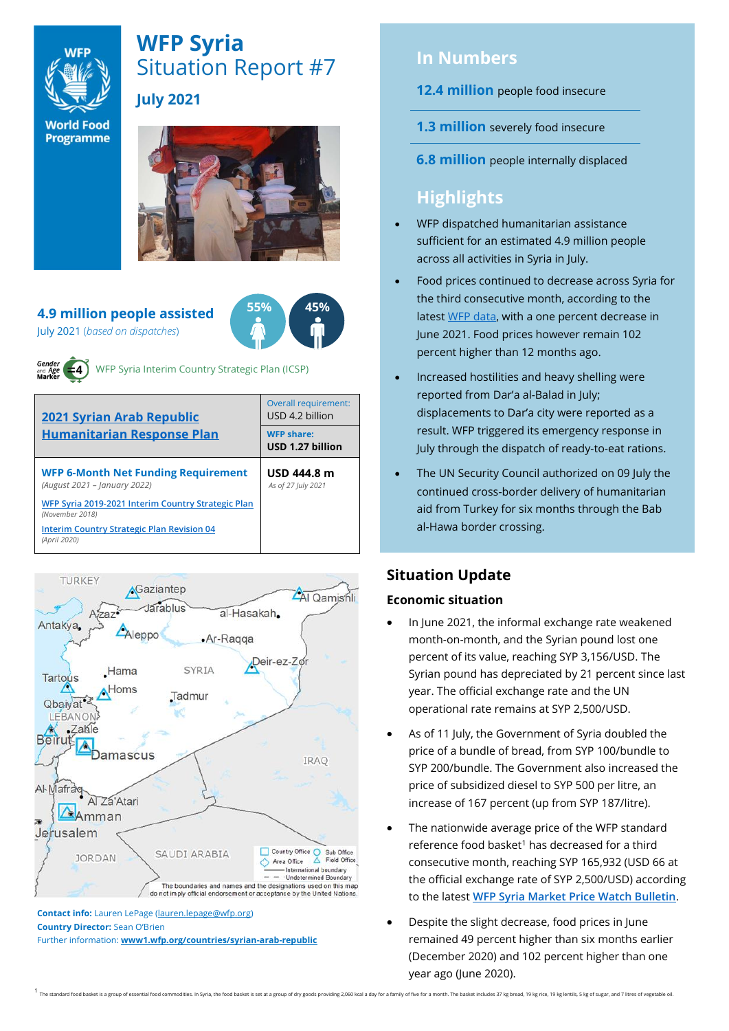

# **WFP Syria** Situation Report #7 **July 2021**

**World Food** Programme



#### **4.9 million people assisted** July 2021 (*based on dispatches*)



WFP Syria Interim Country Strategic Plan (ICSP)

| <b>2021 Syrian Arab Republic</b><br><b>Humanitarian Response Plan</b>      | Overall requirement:<br>USD 4.2 billion |  |  |
|----------------------------------------------------------------------------|-----------------------------------------|--|--|
|                                                                            | <b>WFP share:</b><br>USD 1.27 billion   |  |  |
| <b>WFP 6-Month Net Funding Requirement</b><br>(August 2021 - January 2022) | USD 444.8 m<br>As of 27 July 2021       |  |  |
| WFP Syria 2019-2021 Interim Country Strategic Plan<br>(November 2018)      |                                         |  |  |
| <b>Interim Country Strategic Plan Revision 04</b><br>(April 2020)          |                                         |  |  |



**Country Director:** Sean O'Brien Further information: **[www1.wfp.org/countries/syrian-arab-republic](file:///C:/Users/lauren.lepage/AppData/Local/Microsoft/Windows/INetCache/Content.Outlook/HTRVWXQN/www1.wfp.org/countries/syrian-arab-republic)**

### **In Numbers**

### **12.4 million** people food insecure

- **1.3 million** severely food insecure
- **6.8 million** people internally displaced

## **Highlights**

- WFP dispatched humanitarian assistance sufficient for an estimated 4.9 million people across all activities in Syria in July.
- Food prices continued to decrease across Syria for the third consecutive month, according to the lates[t WFP data,](https://docs.wfp.org/api/documents/WFP-0000130975/download/) with a one percent decrease in June 2021. Food prices however remain 102 percent higher than 12 months ago.
- Increased hostilities and heavy shelling were reported from Dar'a al-Balad in July; displacements to Dar'a city were reported as a result. WFP triggered its emergency response in July through the dispatch of ready-to-eat rations.
- The UN Security Council authorized on 09 July the continued cross-border delivery of humanitarian aid from Turkey for six months through the Bab al-Hawa border crossing.

### **Situation Update**

### **Economic situation**

- In June 2021, the informal exchange rate weakened month-on-month, and the Syrian pound lost one percent of its value, reaching SYP 3,156/USD. The Syrian pound has depreciated by 21 percent since last year. The official exchange rate and the UN operational rate remains at SYP 2,500/USD.
- As of 11 July, the Government of Syria doubled the price of a bundle of bread, from SYP 100/bundle to SYP 200/bundle. The Government also increased the price of subsidized diesel to SYP 500 per litre, an increase of 167 percent (up from SYP 187/litre).
- The nationwide average price of the WFP standard reference food basket<sup>1</sup> has decreased for a third consecutive month, reaching SYP 165,932 (USD 66 at the official exchange rate of SYP 2,500/USD) according to the latest **[WFP Syria Market Price Watch Bulletin](https://docs.wfp.org/api/documents/WFP-0000130975/download/)**.
- Despite the slight decrease, food prices in June remained 49 percent higher than six months earlier (December 2020) and 102 percent higher than one year ago (June 2020).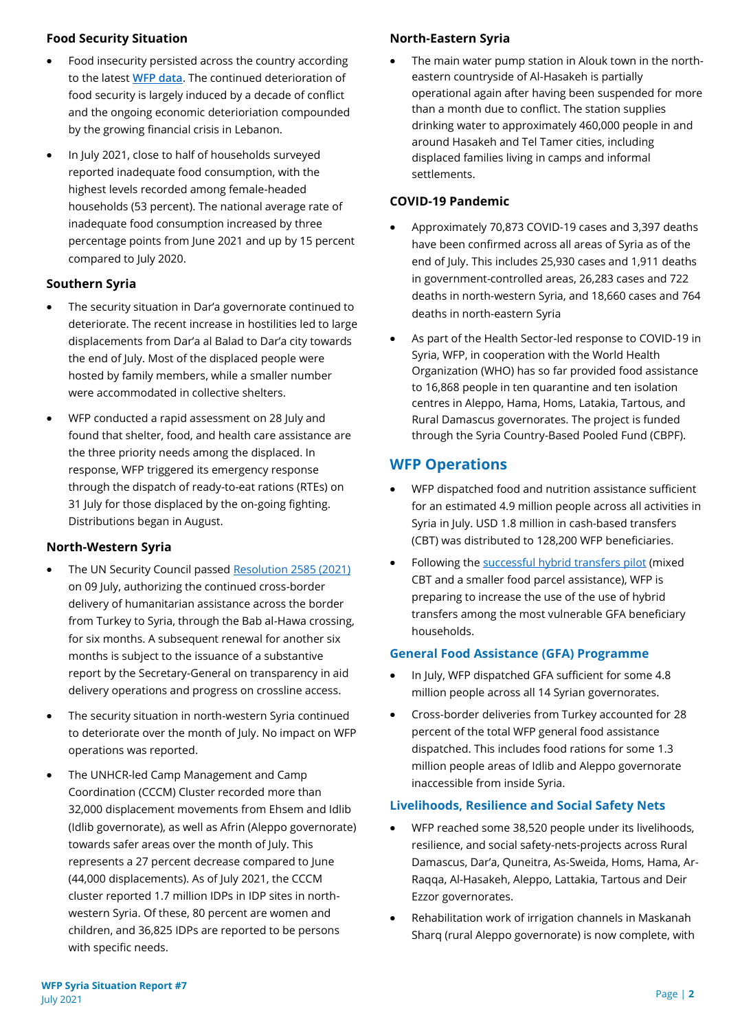#### **Food Security Situation**

- Food insecurity persisted across the country according to the latest **[WFP data](https://docs.wfp.org/api/documents/WFP-0000131070/download/)**. The continued deterioration of food security is largely induced by a decade of conflict and the ongoing economic deterioriation compounded by the growing financial crisis in Lebanon.
- In July 2021, close to half of households surveyed reported inadequate food consumption, with the highest levels recorded among female-headed households (53 percent). The national average rate of inadequate food consumption increased by three percentage points from June 2021 and up by 15 percent compared to July 2020.

### **Southern Syria**

- The security situation in Dar'a governorate continued to deteriorate. The recent increase in hostilities led to large displacements from Dar'a al Balad to Dar'a city towards the end of July. Most of the displaced people were hosted by family members, while a smaller number were accommodated in collective shelters.
- WFP conducted a rapid assessment on 28 July and found that shelter, food, and health care assistance are the three priority needs among the displaced. In response, WFP triggered its emergency response through the dispatch of ready-to-eat rations (RTEs) on 31 July for those displaced by the on-going fighting. Distributions began in August.

### **North-Western Syria**

- The UN Security Council passe[d Resolution 2585 \(2021\)](https://undocs.org/S/RES/2585(2021)) on 09 July, authorizing the continued cross-border delivery of humanitarian assistance across the border from Turkey to Syria, through the Bab al-Hawa crossing, for six months. A subsequent renewal for another six months is subject to the issuance of a substantive report by the Secretary-General on transparency in aid delivery operations and progress on crossline access.
- The security situation in north-western Syria continued to deteriorate over the month of July. No impact on WFP operations was reported.
- The UNHCR-led Camp Management and Camp Coordination (CCCM) Cluster recorded more than 32,000 displacement movements from Ehsem and Idlib (Idlib governorate), as well as Afrin (Aleppo governorate) towards safer areas over the month of July. This represents a 27 percent decrease compared to June (44,000 displacements). As of July 2021, the CCCM cluster reported 1.7 million IDPs in IDP sites in northwestern Syria. Of these, 80 percent are women and children, and 36,825 IDPs are reported to be persons with specific needs.

### **North-Eastern Syria**

The main water pump station in Alouk town in the northeastern countryside of Al-Hasakeh is partially operational again after having been suspended for more than a month due to conflict. The station supplies drinking water to approximately 460,000 people in and around Hasakeh and Tel Tamer cities, including displaced families living in camps and informal settlements.

### **COVID-19 Pandemic**

- Approximately 70,873 COVID-19 cases and 3,397 deaths have been confirmed across all areas of Syria as of the end of July. This includes 25,930 cases and 1,911 deaths in government-controlled areas, 26,283 cases and 722 deaths in north-western Syria, and 18,660 cases and 764 deaths in north-eastern Syria
- As part of the Health Sector-led response to COVID-19 in Syria, WFP, in cooperation with the World Health Organization (WHO) has so far provided food assistance to 16,868 people in ten quarantine and ten isolation centres in Aleppo, Hama, Homs, Latakia, Tartous, and Rural Damascus governorates. The project is funded through the Syria Country-Based Pooled Fund (CBPF).

### **WFP Operations**

- WFP dispatched food and nutrition assistance sufficient for an estimated 4.9 million people across all activities in Syria in July. USD 1.8 million in cash-based transfers (CBT) was distributed to 128,200 WFP beneficiaries.
- Following th[e successful hybrid transfers pilot](https://www.wfp.org/publications/benefits-mixed-modality-assistance-food-security-syria-evidence-pilot-project-damascus) (mixed CBT and a smaller food parcel assistance), WFP is preparing to increase the use of the use of hybrid transfers among the most vulnerable GFA beneficiary households.

### **General Food Assistance (GFA) Programme**

- In July, WFP dispatched GFA sufficient for some 4.8 million people across all 14 Syrian governorates.
- Cross-border deliveries from Turkey accounted for 28 percent of the total WFP general food assistance dispatched. This includes food rations for some 1.3 million people areas of Idlib and Aleppo governorate inaccessible from inside Syria.

#### **Livelihoods, Resilience and Social Safety Nets**

- WFP reached some 38,520 people under its livelihoods, resilience, and social safety-nets-projects across Rural Damascus, Dar'a, Quneitra, As-Sweida, Homs, Hama, Ar-Raqqa, Al-Hasakeh, Aleppo, Lattakia, Tartous and Deir Ezzor governorates.
- Rehabilitation work of irrigation channels in Maskanah Sharq (rural Aleppo governorate) is now complete, with